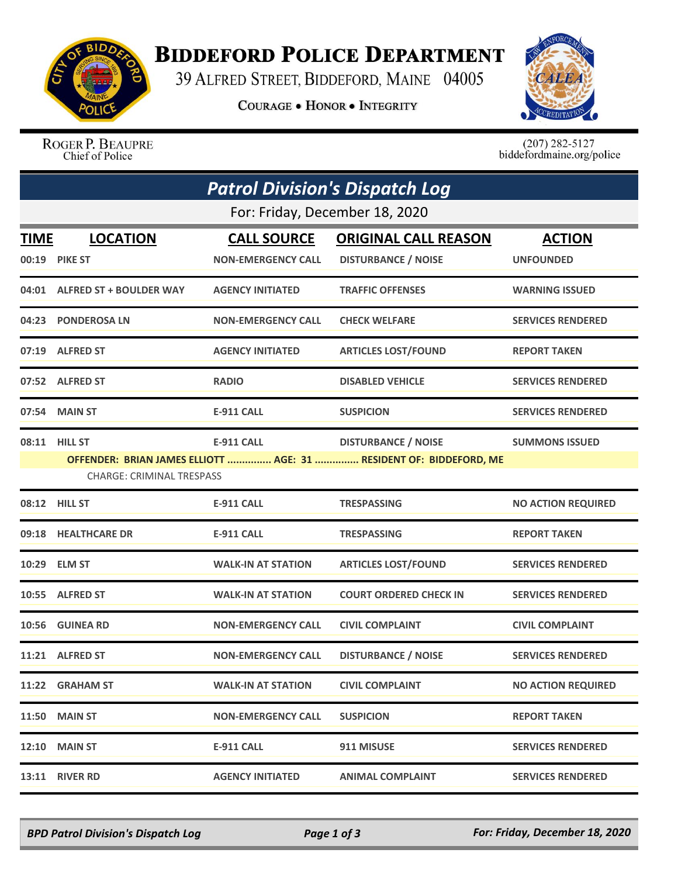

## **BIDDEFORD POLICE DEPARTMENT**

39 ALFRED STREET, BIDDEFORD, MAINE 04005

**COURAGE . HONOR . INTEGRITY** 



ROGER P. BEAUPRE Chief of Police

 $(207)$  282-5127<br>biddefordmaine.org/police

|                                | <b>Patrol Division's Dispatch Log</b>             |                           |                                                                                                  |                           |  |  |  |  |
|--------------------------------|---------------------------------------------------|---------------------------|--------------------------------------------------------------------------------------------------|---------------------------|--|--|--|--|
| For: Friday, December 18, 2020 |                                                   |                           |                                                                                                  |                           |  |  |  |  |
| <b>TIME</b>                    | <b>LOCATION</b>                                   | <b>CALL SOURCE</b>        | <b>ORIGINAL CALL REASON</b>                                                                      | <b>ACTION</b>             |  |  |  |  |
|                                | 00:19 PIKE ST                                     | <b>NON-EMERGENCY CALL</b> | <b>DISTURBANCE / NOISE</b>                                                                       | <b>UNFOUNDED</b>          |  |  |  |  |
|                                | 04:01 ALFRED ST + BOULDER WAY                     | <b>AGENCY INITIATED</b>   | <b>TRAFFIC OFFENSES</b>                                                                          | <b>WARNING ISSUED</b>     |  |  |  |  |
|                                | 04:23 PONDEROSA LN                                | <b>NON-EMERGENCY CALL</b> | <b>CHECK WELFARE</b>                                                                             | <b>SERVICES RENDERED</b>  |  |  |  |  |
|                                | 07:19 ALFRED ST                                   | <b>AGENCY INITIATED</b>   | <b>ARTICLES LOST/FOUND</b>                                                                       | <b>REPORT TAKEN</b>       |  |  |  |  |
|                                | 07:52 ALFRED ST                                   | <b>RADIO</b>              | <b>DISABLED VEHICLE</b>                                                                          | <b>SERVICES RENDERED</b>  |  |  |  |  |
|                                | 07:54 MAIN ST                                     | <b>E-911 CALL</b>         | <b>SUSPICION</b>                                                                                 | <b>SERVICES RENDERED</b>  |  |  |  |  |
|                                | 08:11 HILL ST<br><b>CHARGE: CRIMINAL TRESPASS</b> | <b>E-911 CALL</b>         | <b>DISTURBANCE / NOISE</b><br>OFFENDER: BRIAN JAMES ELLIOTT  AGE: 31  RESIDENT OF: BIDDEFORD, ME | <b>SUMMONS ISSUED</b>     |  |  |  |  |
|                                | 08:12 HILL ST                                     | <b>E-911 CALL</b>         | <b>TRESPASSING</b>                                                                               | <b>NO ACTION REQUIRED</b> |  |  |  |  |
|                                | 09:18 HEALTHCARE DR                               | <b>E-911 CALL</b>         | <b>TRESPASSING</b>                                                                               | <b>REPORT TAKEN</b>       |  |  |  |  |
|                                | 10:29 ELM ST                                      | <b>WALK-IN AT STATION</b> | <b>ARTICLES LOST/FOUND</b>                                                                       | <b>SERVICES RENDERED</b>  |  |  |  |  |
|                                | 10:55 ALFRED ST                                   | <b>WALK-IN AT STATION</b> | <b>COURT ORDERED CHECK IN</b>                                                                    | <b>SERVICES RENDERED</b>  |  |  |  |  |
|                                | 10:56 GUINEA RD                                   | <b>NON-EMERGENCY CALL</b> | <b>CIVIL COMPLAINT</b>                                                                           | <b>CIVIL COMPLAINT</b>    |  |  |  |  |
|                                | 11:21 ALFRED ST                                   | <b>NON-EMERGENCY CALL</b> | <b>DISTURBANCE / NOISE</b>                                                                       | <b>SERVICES RENDERED</b>  |  |  |  |  |
|                                | 11:22 GRAHAM ST                                   | <b>WALK-IN AT STATION</b> | <b>CIVIL COMPLAINT</b>                                                                           | <b>NO ACTION REQUIRED</b> |  |  |  |  |
|                                | <b>11:50 MAIN ST</b>                              | <b>NON-EMERGENCY CALL</b> | <b>SUSPICION</b>                                                                                 | <b>REPORT TAKEN</b>       |  |  |  |  |
|                                | <b>12:10 MAIN ST</b>                              | <b>E-911 CALL</b>         | 911 MISUSE                                                                                       | <b>SERVICES RENDERED</b>  |  |  |  |  |
| 13:11                          | <b>RIVER RD</b>                                   | <b>AGENCY INITIATED</b>   | <b>ANIMAL COMPLAINT</b>                                                                          | <b>SERVICES RENDERED</b>  |  |  |  |  |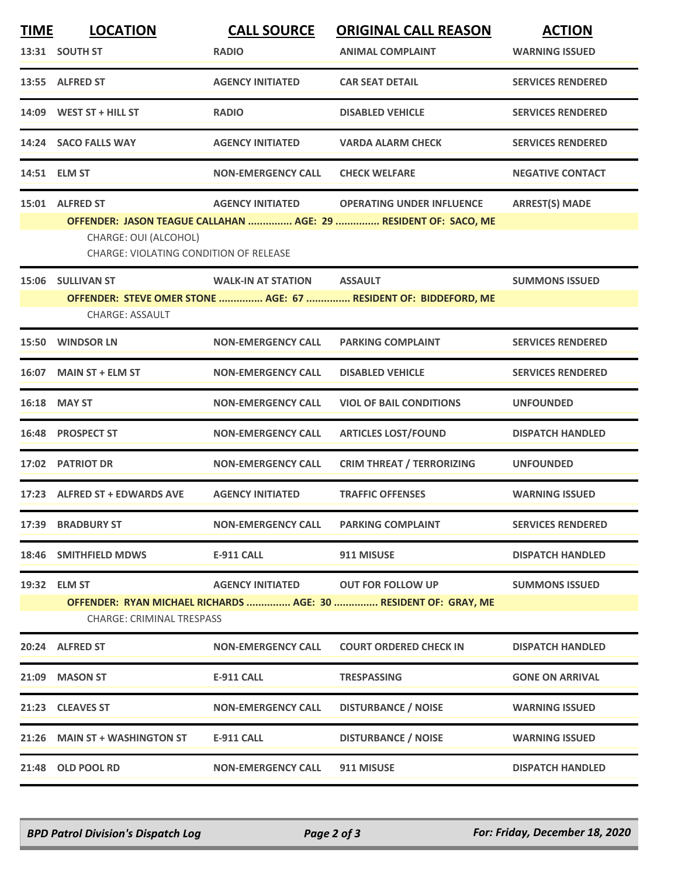| <b>TIME</b> | <b>LOCATION</b><br>13:31 SOUTH ST                                                  | <b>CALL SOURCE</b><br><b>RADIO</b> | <b>ORIGINAL CALL REASON</b><br><b>ANIMAL COMPLAINT</b>                                              | <b>ACTION</b><br><b>WARNING ISSUED</b> |
|-------------|------------------------------------------------------------------------------------|------------------------------------|-----------------------------------------------------------------------------------------------------|----------------------------------------|
|             | 13:55 ALFRED ST                                                                    | <b>AGENCY INITIATED</b>            | <b>CAR SEAT DETAIL</b>                                                                              | <b>SERVICES RENDERED</b>               |
|             | 14:09 WEST ST + HILL ST                                                            | <b>RADIO</b>                       | <b>DISABLED VEHICLE</b>                                                                             | <b>SERVICES RENDERED</b>               |
|             | 14:24 SACO FALLS WAY                                                               | <b>AGENCY INITIATED</b>            | <b>VARDA ALARM CHECK</b>                                                                            | <b>SERVICES RENDERED</b>               |
|             | 14:51 ELM ST                                                                       | <b>NON-EMERGENCY CALL</b>          | <b>CHECK WELFARE</b>                                                                                | <b>NEGATIVE CONTACT</b>                |
|             | 15:01 ALFRED ST<br>CHARGE: OUI (ALCOHOL)<br>CHARGE: VIOLATING CONDITION OF RELEASE | <b>AGENCY INITIATED</b>            | <b>OPERATING UNDER INFLUENCE</b><br>OFFENDER: JASON TEAGUE CALLAHAN  AGE: 29  RESIDENT OF: SACO, ME | <b>ARREST(S) MADE</b>                  |
|             | 15:06 SULLIVAN ST<br><b>CHARGE: ASSAULT</b>                                        | <b>WALK-IN AT STATION</b>          | <b>ASSAULT</b><br>OFFENDER: STEVE OMER STONE  AGE: 67  RESIDENT OF: BIDDEFORD, ME                   | <b>SUMMONS ISSUED</b>                  |
|             | 15:50 WINDSOR LN                                                                   | <b>NON-EMERGENCY CALL</b>          | <b>PARKING COMPLAINT</b>                                                                            | <b>SERVICES RENDERED</b>               |
|             | 16:07 MAIN ST + ELM ST                                                             | <b>NON-EMERGENCY CALL</b>          | <b>DISABLED VEHICLE</b>                                                                             | <b>SERVICES RENDERED</b>               |
|             | 16:18 MAY ST                                                                       | <b>NON-EMERGENCY CALL</b>          | <b>VIOL OF BAIL CONDITIONS</b>                                                                      | <b>UNFOUNDED</b>                       |
|             | 16:48 PROSPECT ST                                                                  | <b>NON-EMERGENCY CALL</b>          | <b>ARTICLES LOST/FOUND</b>                                                                          | <b>DISPATCH HANDLED</b>                |
|             | 17:02 PATRIOT DR                                                                   | <b>NON-EMERGENCY CALL</b>          | <b>CRIM THREAT / TERRORIZING</b>                                                                    | <b>UNFOUNDED</b>                       |
|             | 17:23 ALFRED ST + EDWARDS AVE                                                      | <b>AGENCY INITIATED</b>            | <b>TRAFFIC OFFENSES</b>                                                                             | <b>WARNING ISSUED</b>                  |
|             | 17:39 BRADBURY ST                                                                  | <b>NON-EMERGENCY CALL</b>          | <b>PARKING COMPLAINT</b>                                                                            | <b>SERVICES RENDERED</b>               |
| 18:46       | <b>SMITHFIELD MDWS</b>                                                             | <b>E-911 CALL</b>                  | 911 MISUSE                                                                                          | <b>DISPATCH HANDLED</b>                |
|             | 19:32 ELM ST<br><b>CHARGE: CRIMINAL TRESPASS</b>                                   | <b>AGENCY INITIATED</b>            | <b>OUT FOR FOLLOW UP</b><br>OFFENDER: RYAN MICHAEL RICHARDS  AGE: 30  RESIDENT OF: GRAY, ME         | <b>SUMMONS ISSUED</b>                  |
|             | 20:24 ALFRED ST                                                                    | <b>NON-EMERGENCY CALL</b>          | <b>COURT ORDERED CHECK IN</b>                                                                       | <b>DISPATCH HANDLED</b>                |
| 21:09       | <b>MASON ST</b>                                                                    | <b>E-911 CALL</b>                  | TRESPASSING                                                                                         | <b>GONE ON ARRIVAL</b>                 |
|             | 21:23 CLEAVES ST                                                                   | <b>NON-EMERGENCY CALL</b>          | <b>DISTURBANCE / NOISE</b>                                                                          | <b>WARNING ISSUED</b>                  |
|             | 21:26 MAIN ST + WASHINGTON ST                                                      | <b>E-911 CALL</b>                  | <b>DISTURBANCE / NOISE</b>                                                                          | <b>WARNING ISSUED</b>                  |
|             | 21:48 OLD POOL RD                                                                  | <b>NON-EMERGENCY CALL</b>          | 911 MISUSE                                                                                          | <b>DISPATCH HANDLED</b>                |